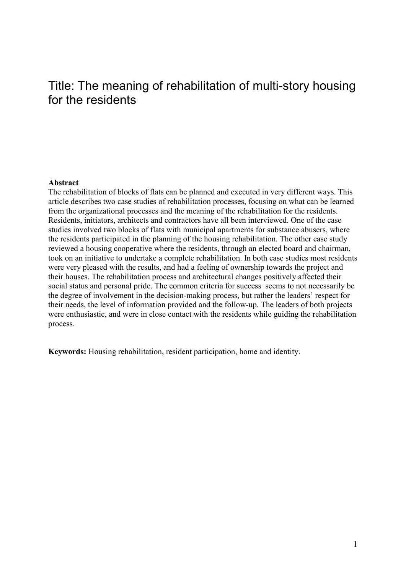# Title: The meaning of rehabilitation of multi-story housing for the residents

#### **Abstract**

The rehabilitation of blocks of flats can be planned and executed in very different ways. This article describes two case studies of rehabilitation processes, focusing on what can be learned from the organizational processes and the meaning of the rehabilitation for the residents. Residents, initiators, architects and contractors have all been interviewed. One of the case studies involved two blocks of flats with municipal apartments for substance abusers, where the residents participated in the planning of the housing rehabilitation. The other case study reviewed a housing cooperative where the residents, through an elected board and chairman, took on an initiative to undertake a complete rehabilitation. In both case studies most residents were very pleased with the results, and had a feeling of ownership towards the project and their houses. The rehabilitation process and architectural changes positively affected their social status and personal pride. The common criteria for success seems to not necessarily be the degree of involvement in the decision-making process, but rather the leaders' respect for their needs, the level of information provided and the follow-up. The leaders of both projects were enthusiastic, and were in close contact with the residents while guiding the rehabilitation process.

<span id="page-0-0"></span>**Keywords:** Housing rehabilitation, resident participation, home and identity.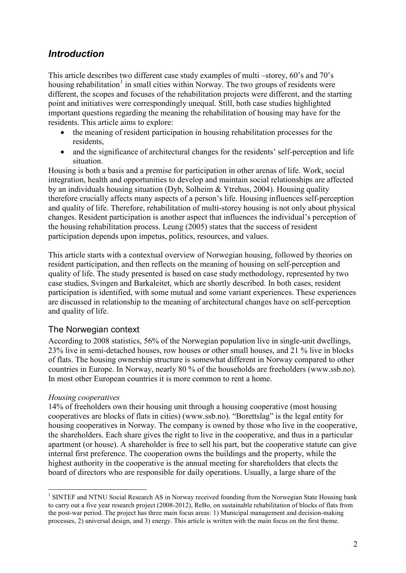# *Introduction*

This article describes two different case study examples of multi –storey, 60's and 70's housing rehabilitation<sup>[1](#page-0-0)</sup> in small cities within Norway. The two groups of residents were different, the scopes and focuses of the rehabilitation projects were different, and the starting point and initiatives were correspondingly unequal. Still, both case studies highlighted important questions regarding the meaning the rehabilitation of housing may have for the residents. This article aims to explore:

- the meaning of resident participation in housing rehabilitation processes for the residents,
- and the significance of architectural changes for the residents' self-perception and life situation.

Housing is both a basis and a premise for participation in other arenas of life. Work, social integration, health and opportunities to develop and maintain social relationships are affected by an individuals housing situation (Dyb, Solheim & Ytrehus, 2004). Housing quality therefore crucially affects many aspects of a person's life. Housing influences self-perception and quality of life. Therefore, rehabilitation of multi-storey housing is not only about physical changes. Resident participation is another aspect that influences the individual's perception of the housing rehabilitation process. Leung (2005) states that the success of resident participation depends upon impetus, politics, resources, and values.

This article starts with a contextual overview of Norwegian housing, followed by theories on resident participation, and then reflects on the meaning of housing on self-perception and quality of life. The study presented is based on case study methodology, represented by two case studies, Svingen and Barkaleitet, which are shortly described. In both cases, resident participation is identified, with some mutual and some variant experiences. These experiences are discussed in relationship to the meaning of architectural changes have on self-perception and quality of life.

# The Norwegian context

According to 2008 statistics, 56% of the Norwegian population live in single-unit dwellings, 23% live in semi-detached houses, row houses or other small houses, and 21 % live in blocks of flats. The housing ownership structure is somewhat different in Norway compared to other countries in Europe. In Norway, nearly 80 % of the households are freeholders [\(www.ssb.no\)](http://www.ssb.no/). In most other European countries it is more common to rent a home.

# *Housing cooperatives*

14% of freeholders own their housing unit through a housing cooperative (most housing cooperatives are blocks of flats in cities) (www.ssb.no). "Borettslag" is the [legal entity](http://en.wikipedia.org/wiki/Juristic_person) for [housing cooperatives](http://en.wikipedia.org/wiki/Housing_cooperative) in [Norway.](http://en.wikipedia.org/wiki/Norway) The company is owned by those who live in the cooperative, the shareholders. Each share gives the right to live in the cooperative, and thus in a particular apartment (or house). A shareholder is free to sell his part, but the cooperative [statute](http://en.wikipedia.org/wiki/Statute) can give internal [first preference.](http://en.wikipedia.org/w/index.php?title=First_refusal&action=edit&redlink=1) The cooperation owns the buildings and the property, while the highest authority in the cooperative is the [annual meeting](http://en.wikipedia.org/wiki/Annual_general_meeting) for shareholders that elects the [board of directors](http://en.wikipedia.org/wiki/Board_of_directors) who are responsible for daily operations. Usually, a large share of the

<sup>&</sup>lt;sup>1</sup> SINTEF and NTNU Social Research AS in Norway received founding from the Norwegian State Housing bank to carry out a five year research project (2008-2012), ReBo, on sustainable rehabilitation of blocks of flats from the post-war period. The project has three main focus areas: 1) Municipal management and decision-making processes, 2) universal design, and 3) energy. This article is written with the main focus on the first theme.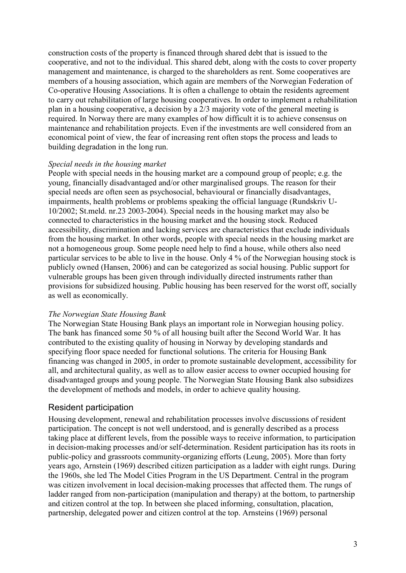[construction costs](http://en.wikipedia.org/wiki/Construction) of the property is financed through shared [debt](http://en.wikipedia.org/wiki/Debt) that is issued to the cooperative, and not to the individual. This shared debt, along with the costs to cover property management and maintenance, is charged to the shareholders as [rent.](http://en.wikipedia.org/wiki/Renting) Some cooperatives are members of a [housing association,](http://en.wikipedia.org/wiki/Housing_association) which again are members of the [Norwegian Federation of](http://en.wikipedia.org/w/index.php?title=Norwegian_Federation_of_Co-operative_Housing_Associations&action=edit&redlink=1)  [Co-operative Housing Associations.](http://en.wikipedia.org/w/index.php?title=Norwegian_Federation_of_Co-operative_Housing_Associations&action=edit&redlink=1) It is often a challenge to obtain the residents agreement to carry out rehabilitation of large housing cooperatives. In order to implement a rehabilitation plan in a housing cooperative, a decision by a 2/3 majority vote of the general meeting is required. In Norway there are many examples of how difficult it is to achieve consensus on maintenance and rehabilitation projects. Even if the investments are well considered from an economical point of view, the fear of increasing rent often stops the process and leads to building degradation in the long run.

#### *Special needs in the housing market*

People with special needs in the housing market are a compound group of people; e.g. the young, financially disadvantaged and/or other marginalised groups. The reason for their special needs are often seen as psychosocial, behavioural or financially disadvantages, impairments, health problems or problems speaking the official language (Rundskriv U-10/2002; St.meld. nr.23 2003-2004). Special needs in the housing market may also be connected to characteristics in the housing market and the housing stock. Reduced accessibility, discrimination and lacking services are characteristics that exclude individuals from the housing market. In other words, people with special needs in the housing market are not a homogeneous group. Some people need help to find a house, while others also need particular services to be able to live in the house. Only 4 % of the Norwegian housing stock is publicly owned (Hansen, 2006) and can be categorized as social housing. Public support for vulnerable groups has been given through individually directed instruments rather than provisions for subsidized housing. Public housing has been reserved for the worst off, socially as well as economically.

### *The Norwegian State Housing Bank*

The Norwegian State Housing Bank plays an important role in Norwegian housing policy. The bank has financed some 50 % of all housing built after the Second World War. It has contributed to the existing quality of housing in Norway by developing standards and specifying floor space needed for functional solutions. The criteria for Housing Bank financing was changed in 2005, in order to promote sustainable development, accessibility for all, and architectural quality, as well as to allow easier access to owner occupied housing for disadvantaged groups and young people. The Norwegian State Housing Bank also subsidizes the development of methods and models, in order to achieve quality housing.

### Resident participation

Housing development, renewal and rehabilitation processes involve discussions of resident participation. The concept is not well understood, and is generally described as a process taking place at different levels, from the possible ways to receive information, to participation in decision-making processes and/or self-determination. Resident participation has its roots in public-policy and grassroots community-organizing efforts (Leung, 2005). More than forty years ago, Arnstein (1969) described citizen participation as a ladder with eight rungs. During the 1960s, she led The Model Cities Program in the US Department. Central in the program was citizen involvement in local decision-making processes that affected them. The rungs of ladder ranged from non-participation (manipulation and therapy) at the bottom, to partnership and citizen control at the top. In between she placed informing, consultation, placation, partnership, delegated power and citizen control at the top. Arnsteins (1969) personal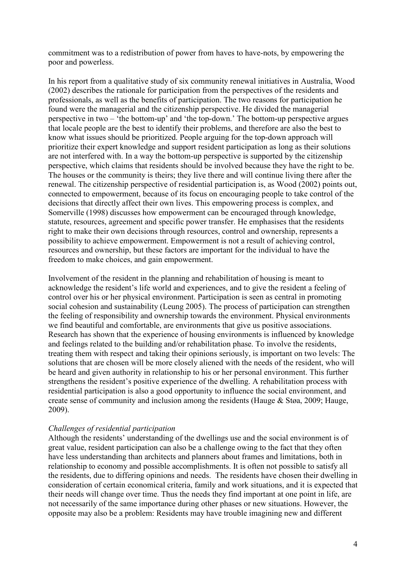commitment was to a redistribution of power from haves to have-nots, by empowering the poor and powerless.

In his report from a qualitative study of six community renewal initiatives in Australia, Wood (2002) describes the rationale for participation from the perspectives of the residents and professionals, as well as the benefits of participation. The two reasons for participation he found were the managerial and the citizenship perspective. He divided the managerial perspective in two – 'the bottom-up' and 'the top-down.' The bottom-up perspective argues that locale people are the best to identify their problems, and therefore are also the best to know what issues should be prioritized. People arguing for the top-down approach will prioritize their expert knowledge and support resident participation as long as their solutions are not interfered with. In a way the bottom-up perspective is supported by the citizenship perspective, which claims that residents should be involved because they have the right to be. The houses or the community is theirs; they live there and will continue living there after the renewal. The citizenship perspective of residential participation is, as Wood (2002) points out, connected to empowerment, because of its focus on encouraging people to take control of the decisions that directly affect their own lives. This empowering process is complex, and Somerville (1998) discusses how empowerment can be encouraged through knowledge, statute, resources, agreement and specific power transfer. He emphasises that the residents right to make their own decisions through resources, control and ownership, represents a possibility to achieve empowerment. Empowerment is not a result of achieving control, resources and ownership, but these factors are important for the individual to have the freedom to make choices, and gain empowerment.

Involvement of the resident in the planning and rehabilitation of housing is meant to acknowledge the resident's life world and experiences, and to give the resident a feeling of control over his or her physical environment. Participation is seen as central in promoting social cohesion and sustainability (Leung 2005). The process of participation can strengthen the feeling of responsibility and ownership towards the environment. Physical environments we find beautiful and comfortable, are environments that give us positive associations. Research has shown that the experience of housing environments is influenced by knowledge and feelings related to the building and/or rehabilitation phase. To involve the residents, treating them with respect and taking their opinions seriously, is important on two levels: The solutions that are chosen will be more closely aliened with the needs of the resident, who will be heard and given authority in relationship to his or her personal environment. This further strengthens the resident's positive experience of the dwelling. A rehabilitation process with residential participation is also a good opportunity to influence the social environment, and create sense of community and inclusion among the residents (Hauge & Støa, 2009; Hauge, 2009).

### *Challenges of residential participation*

Although the residents' understanding of the dwellings use and the social environment is of great value, resident participation can also be a challenge owing to the fact that they often have less understanding than architects and planners about frames and limitations, both in relationship to economy and possible accomplishments. It is often not possible to satisfy all the residents, due to differing opinions and needs. The residents have chosen their dwelling in consideration of certain economical criteria, family and work situations, and it is expected that their needs will change over time. Thus the needs they find important at one point in life, are not necessarily of the same importance during other phases or new situations. However, the opposite may also be a problem: Residents may have trouble imagining new and different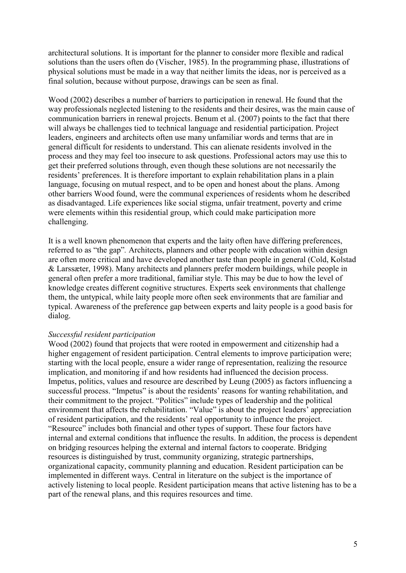architectural solutions. It is important for the planner to consider more flexible and radical solutions than the users often do (Vischer, 1985). In the programming phase, illustrations of physical solutions must be made in a way that neither limits the ideas, nor is perceived as a final solution, because without purpose, drawings can be seen as final.

Wood (2002) describes a number of barriers to participation in renewal. He found that the way professionals neglected listening to the residents and their desires, was the main cause of communication barriers in renewal projects. Benum et al. (2007) points to the fact that there will always be challenges tied to technical language and residential participation. Project leaders, engineers and architects often use many unfamiliar words and terms that are in general difficult for residents to understand. This can alienate residents involved in the process and they may feel too insecure to ask questions. Professional actors may use this to get their preferred solutions through, even though these solutions are not necessarily the residents' preferences. It is therefore important to explain rehabilitation plans in a plain language, focusing on mutual respect, and to be open and honest about the plans. Among other barriers Wood found, were the communal experiences of residents whom he described as disadvantaged. Life experiences like social stigma, unfair treatment, poverty and crime were elements within this residential group, which could make participation more challenging.

It is a well known phenomenon that experts and the laity often have differing preferences, referred to as "the gap"*.* Architects, planners and other people with education within design are often more critical and have developed another taste than people in general (Cold, Kolstad & Larssæter, 1998). Many architects and planners prefer modern buildings, while people in general often prefer a more traditional, familiar style. This may be due to how the level of knowledge creates different cognitive structures. Experts seek environments that challenge them, the untypical, while laity people more often seek environments that are familiar and typical. Awareness of the preference gap between experts and laity people is a good basis for dialog.

### *Successful resident participation*

Wood (2002) found that projects that were rooted in empowerment and citizenship had a higher engagement of resident participation. Central elements to improve participation were; starting with the local people, ensure a wider range of representation, realizing the resource implication, and monitoring if and how residents had influenced the decision process. Impetus, politics, values and resource are described by Leung (2005) as factors influencing a successful process. "Impetus" is about the residents' reasons for wanting rehabilitation, and their commitment to the project. "Politics" include types of leadership and the political environment that affects the rehabilitation. "Value" is about the project leaders' appreciation of resident participation, and the residents' real opportunity to influence the project. "Resource" includes both financial and other types of support. These four factors have internal and external conditions that influence the results. In addition, the process is dependent on bridging resources helping the external and internal factors to cooperate. Bridging resources is distinguished by trust, community organizing, strategic partnerships, organizational capacity, community planning and education. Resident participation can be implemented in different ways. Central in literature on the subject is the importance of actively listening to local people. Resident participation means that active listening has to be a part of the renewal plans, and this requires resources and time.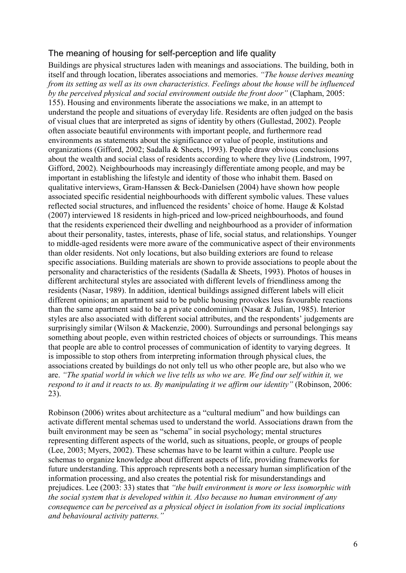# The meaning of housing for self-perception and life quality

Buildings are physical structures laden with meanings and associations. The building, both in itself and through location, liberates associations and memories. *"The house derives meaning from its setting as well as its own characteristics. Feelings about the house will be influenced by the perceived physical and social environment outside the front door"* (Clapham, 2005: 155). Housing and environments liberate the associations we make, in an attempt to understand the people and situations of everyday life. Residents are often judged on the basis of visual clues that are interpreted as signs of identity by others (Gullestad, 2002). People often associate beautiful environments with important people, and furthermore read environments as statements about the significance or value of people, institutions and organizations (Gifford, 2002; Sadalla & Sheets, 1993). People draw obvious conclusions about the wealth and social class of residents according to where they live (Lindstrom, 1997, Gifford, 2002). Neighbourhoods may increasingly differentiate among people, and may be important in establishing the lifestyle and identity of those who inhabit them. Based on qualitative interviews, Gram-Hanssen & Beck-Danielsen (2004) have shown how people associated specific residential neighbourhoods with different symbolic values. These values reflected social structures, and influenced the residents' choice of home. Hauge & Kolstad (2007) interviewed 18 residents in high-priced and low-priced neighbourhoods, and found that the residents experienced their dwelling and neighbourhood as a provider of information about their personality, tastes, interests, phase of life, social status, and relationships. Younger to middle-aged residents were more aware of the communicative aspect of their environments than older residents. Not only locations, but also building exteriors are found to release specific associations. Building materials are shown to provide associations to people about the personality and characteristics of the residents (Sadalla & Sheets, 1993). Photos of houses in different architectural styles are associated with different levels of friendliness among the residents (Nasar, 1989). In addition, identical buildings assigned different labels will elicit different opinions; an apartment said to be public housing provokes less favourable reactions than the same apartment said to be a private condominium (Nasar & Julian, 1985). Interior styles are also associated with different social attributes, and the respondents' judgements are surprisingly similar (Wilson & Mackenzie, 2000). Surroundings and personal belongings say something about people, even within restricted choices of objects or surroundings. This means that people are able to control processes of communication of identity to varying degrees. It is impossible to stop others from interpreting information through physical clues, the associations created by buildings do not only tell us who other people are, but also who we are. *"The spatial world in which we live tells us who we are. We find our self within it, we respond to it and it reacts to us. By manipulating it we affirm our identity"* (Robinson, 2006: 23).

Robinson (2006) writes about architecture as a "cultural medium" and how buildings can activate different mental schemas used to understand the world. Associations drawn from the built environment may be seen as "schema" in social psychology; mental structures representing different aspects of the world, such as situations, people, or groups of people (Lee, 2003; Myers, 2002). These schemas have to be learnt within a culture. People use schemas to organize knowledge about different aspects of life, providing frameworks for future understanding. This approach represents both a necessary human simplification of the information processing, and also creates the potential risk for misunderstandings and prejudices. Lee (2003: 33) states that *"the built environment is more or less isomorphic with the social system that is developed within it. Also because no human environment of any consequence can be perceived as a physical object in isolation from its social implications and behavioural activity patterns."*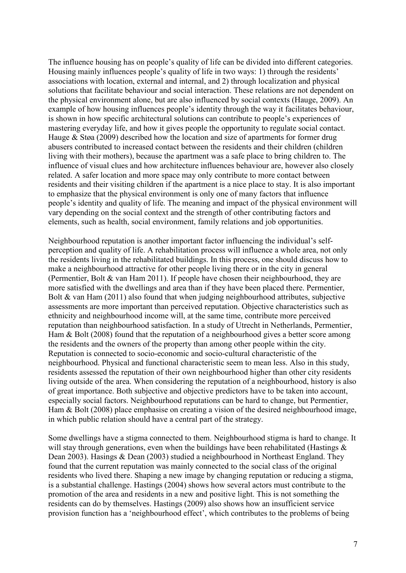The influence housing has on people's quality of life can be divided into different categories. Housing mainly influences people's quality of life in two ways: 1) through the residents' associations with location, external and internal, and 2) through localization and physical solutions that facilitate behaviour and social interaction. These relations are not dependent on the physical environment alone, but are also influenced by social contexts (Hauge, 2009). An example of how housing influences people's identity through the way it facilitates behaviour, is shown in how specific architectural solutions can contribute to people's experiences of mastering everyday life, and how it gives people the opportunity to regulate social contact. Hauge & Støa (2009) described how the location and size of apartments for former drug abusers contributed to increased contact between the residents and their children (children living with their mothers), because the apartment was a safe place to bring children to. The influence of visual clues and how architecture influences behaviour are, however also closely related. A safer location and more space may only contribute to more contact between residents and their visiting children if the apartment is a nice place to stay. It is also important to emphasize that the physical environment is only one of many factors that influence people's identity and quality of life. The meaning and impact of the physical environment will vary depending on the social context and the strength of other contributing factors and elements, such as health, social environment, family relations and job opportunities.

Neighbourhood reputation is another important factor influencing the individual's selfperception and quality of life. A rehabilitation process will influence a whole area, not only the residents living in the rehabilitated buildings. In this process, one should discuss how to make a neighbourhood attractive for other people living there or in the city in general (Permentier, Bolt & van Ham 2011). If people have chosen their neighbourhood, they are more satisfied with the dwellings and area than if they have been placed there. Permentier, Bolt  $\&$  van Ham (2011) also found that when judging neighbourhood attributes, subjective assessments are more important than perceived reputation. Objective characteristics such as ethnicity and neighbourhood income will, at the same time, contribute more perceived reputation than neighbourhood satisfaction. In a study of Utrecht in Netherlands, Permentier, Ham & Bolt (2008) found that the reputation of a neighbourhood gives a better score among the residents and the owners of the property than among other people within the city. Reputation is connected to socio-economic and socio-cultural characteristic of the neighbourhood. Physical and functional characteristic seem to mean less. Also in this study, residents assessed the reputation of their own neighbourhood higher than other city residents living outside of the area. When considering the reputation of a neighbourhood, history is also of great importance. Both subjective and objective predictors have to be taken into account, especially social factors. Neighbourhood reputations can be hard to change, but Permentier, Ham & Bolt (2008) place emphasise on creating a vision of the desired neighbourhood image, in which public relation should have a central part of the strategy.

Some dwellings have a stigma connected to them. Neighbourhood stigma is hard to change. It will stay through generations, even when the buildings have been rehabilitated (Hastings  $\&$ Dean 2003). Hasings & Dean (2003) studied a neighbourhood in Northeast England. They found that the current reputation was mainly connected to the social class of the original residents who lived there. Shaping a new image by changing reputation or reducing a stigma, is a substantial challenge. Hastings (2004) shows how several actors must contribute to the promotion of the area and residents in a new and positive light. This is not something the residents can do by themselves. Hastings (2009) also shows how an insufficient service provision function has a 'neighbourhood effect', which contributes to the problems of being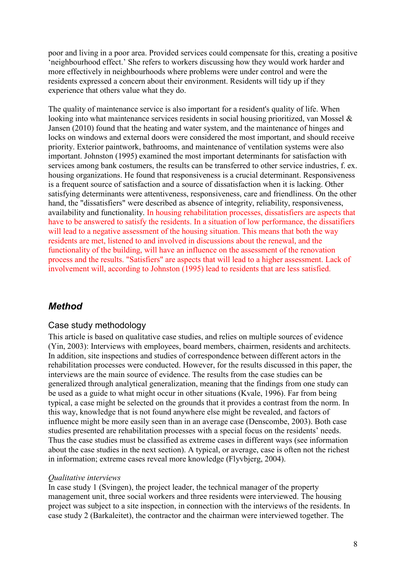poor and living in a poor area. Provided services could compensate for this, creating a positive 'neighbourhood effect.' She refers to workers discussing how they would work harder and more effectively in neighbourhoods where problems were under control and were the residents expressed a concern about their environment. Residents will tidy up if they experience that others value what they do.

The quality of maintenance service is also important for a resident's quality of life. When looking into what maintenance services residents in social housing prioritized, van Mossel & Jansen (2010) found that the heating and water system, and the maintenance of hinges and locks on windows and external doors were considered the most important, and should receive priority. Exterior paintwork, bathrooms, and maintenance of ventilation systems were also important. Johnston (1995) examined the most important determinants for satisfaction with services among bank costumers, the results can be transferred to other service industries, f. ex. housing organizations. He found that responsiveness is a crucial determinant. Responsiveness is a frequent source of satisfaction and a source of dissatisfaction when it is lacking. Other satisfying determinants were attentiveness, responsiveness, care and friendliness. On the other hand, the "dissatisfiers" were described as absence of integrity, reliability, responsiveness, availability and functionality. In housing rehabilitation processes, dissatisfiers are aspects that have to be answered to satisfy the residents. In a situation of low performance, the dissatifiers will lead to a negative assessment of the housing situation. This means that both the way residents are met, listened to and involved in discussions about the renewal, and the functionality of the building, will have an influence on the assessment of the renovation process and the results. "Satisfiers" are aspects that will lead to a higher assessment. Lack of involvement will, according to Johnston (1995) lead to residents that are less satisfied.

# *Method*

# Case study methodology

This article is based on qualitative case studies, and relies on multiple sources of evidence (Yin, 2003): Interviews with employees, board members, chairmen, residents and architects. In addition, site inspections and studies of correspondence between different actors in the rehabilitation processes were conducted. However, for the results discussed in this paper, the interviews are the main source of evidence. The results from the case studies can be generalized through analytical generalization, meaning that the findings from one study can be used as a guide to what might occur in other situations (Kvale, 1996). Far from being typical, a case might be selected on the grounds that it provides a contrast from the norm. In this way, knowledge that is not found anywhere else might be revealed, and factors of influence might be more easily seen than in an average case (Denscombe, 2003). Both case studies presented are rehabilitation processes with a special focus on the residents' needs. Thus the case studies must be classified as extreme cases in different ways (see information about the case studies in the next section). A typical, or average, case is often not the richest in information; extreme cases reveal more knowledge (Flyvbjerg, 2004).

# *Qualitative interviews*

In case study 1 (Svingen), the project leader, the technical manager of the property management unit, three social workers and three residents were interviewed. The housing project was subject to a site inspection, in connection with the interviews of the residents. In case study 2 (Barkaleitet), the contractor and the chairman were interviewed together. The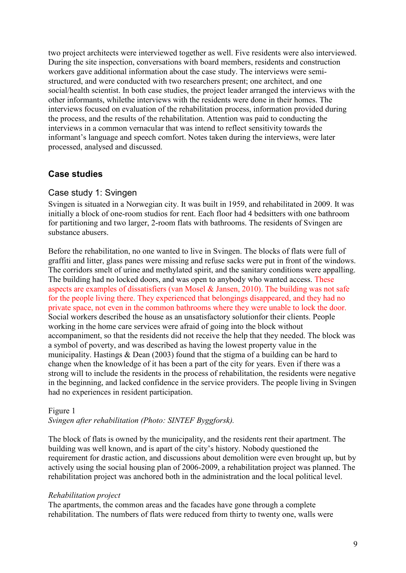two project architects were interviewed together as well. Five residents were also interviewed. During the site inspection, conversations with board members, residents and construction workers gave additional information about the case study. The interviews were semistructured, and were conducted with two researchers present; one architect, and one social/health scientist. In both case studies, the project leader arranged the interviews with the other informants, whilethe interviews with the residents were done in their homes. The interviews focused on evaluation of the rehabilitation process, information provided during the process, and the results of the rehabilitation. Attention was paid to conducting the interviews in a common vernacular that was intend to reflect sensitivity towards the informant's language and speech comfort. Notes taken during the interviews, were later processed, analysed and discussed.

# **Case studies**

# Case study 1: Svingen

Svingen is situated in a Norwegian city. It was built in 1959, and rehabilitated in 2009. It was initially a block of one-room studios for rent. Each floor had 4 bedsitters with one bathroom for partitioning and two larger, 2-room flats with bathrooms. The residents of Svingen are substance abusers.

Before the rehabilitation, no one wanted to live in Svingen. The blocks of flats were full of graffiti and litter, glass panes were missing and refuse sacks were put in front of the windows. The corridors smelt of urine and methylated spirit, and the sanitary conditions were appalling. The building had no locked doors, and was open to anybody who wanted access. These aspects are examples of dissatisfiers (van Mosel & Jansen, 2010). The building was not safe for the people living there. They experienced that belongings disappeared, and they had no private space, not even in the common bathrooms where they were unable to lock the door. Social workers described the house as an unsatisfactory solutionfor their clients. People working in the home care services were afraid of going into the block without accompaniment, so that the residents did not receive the help that they needed. The block was a symbol of poverty, and was described as having the lowest property value in the municipality. Hastings  $\&$  Dean (2003) found that the stigma of a building can be hard to change when the knowledge of it has been a part of the city for years. Even if there was a strong will to include the residents in the process of rehabilitation, the residents were negative in the beginning, and lacked confidence in the service providers. The people living in Svingen had no experiences in resident participation.

#### Figure 1

*Svingen after rehabilitation (Photo: SINTEF Byggforsk).*

The block of flats is owned by the municipality, and the residents rent their apartment. The building was well known, and is apart of the city's history. Nobody questioned the requirement for drastic action, and discussions about demolition were even brought up, but by actively using the social housing plan of 2006-2009, a rehabilitation project was planned. The rehabilitation project was anchored both in the administration and the local political level.

#### *Rehabilitation project*

The apartments, the common areas and the facades have gone through a complete rehabilitation. The numbers of flats were reduced from thirty to twenty one, walls were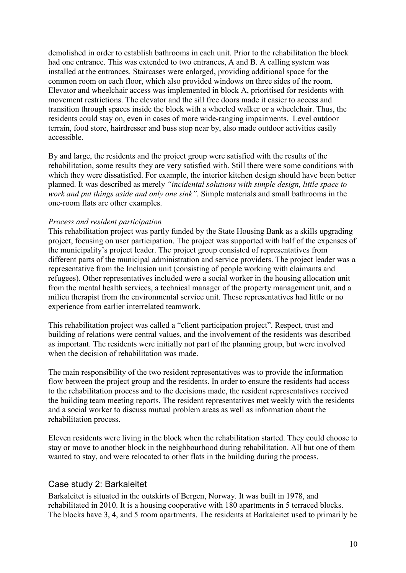demolished in order to establish bathrooms in each unit. Prior to the rehabilitation the block had one entrance. This was extended to two entrances, A and B. A calling system was installed at the entrances. Staircases were enlarged, providing additional space for the common room on each floor, which also provided windows on three sides of the room. Elevator and wheelchair access was implemented in block A, prioritised for residents with movement restrictions. The elevator and the sill free doors made it easier to access and transition through spaces inside the block with a wheeled walker or a wheelchair. Thus, the residents could stay on, even in cases of more wide-ranging impairments. Level outdoor terrain, food store, hairdresser and buss stop near by, also made outdoor activities easily accessible.

By and large, the residents and the project group were satisfied with the results of the rehabilitation, some results they are very satisfied with. Still there were some conditions with which they were dissatisfied. For example, the interior kitchen design should have been better planned. It was described as merely *"incidental solutions with simple design, little space to work and put things aside and only one sink".* Simple materials and small bathrooms in the one-room flats are other examples.

### *Process and resident participation*

This rehabilitation project was partly funded by the State Housing Bank as a skills upgrading project, focusing on user participation. The project was supported with half of the expenses of the municipality's project leader. The project group consisted of representatives from different parts of the municipal administration and service providers. The project leader was a representative from the Inclusion unit (consisting of people working with claimants and refugees). Other representatives included were a social worker in the housing allocation unit from the mental health services, a technical manager of the property management unit, and a milieu therapist from the environmental service unit. These representatives had little or no experience from earlier interrelated teamwork.

This rehabilitation project was called a "client participation project". Respect, trust and building of relations were central values, and the involvement of the residents was described as important. The residents were initially not part of the planning group, but were involved when the decision of rehabilitation was made.

The main responsibility of the two resident representatives was to provide the information flow between the project group and the residents. In order to ensure the residents had access to the rehabilitation process and to the decisions made, the resident representatives received the building team meeting reports. The resident representatives met weekly with the residents and a social worker to discuss mutual problem areas as well as information about the rehabilitation process.

Eleven residents were living in the block when the rehabilitation started. They could choose to stay or move to another block in the neighbourhood during rehabilitation. All but one of them wanted to stay, and were relocated to other flats in the building during the process.

# Case study 2: Barkaleitet

Barkaleitet is situated in the outskirts of Bergen, Norway. It was built in 1978, and rehabilitated in 2010. It is a housing cooperative with 180 apartments in 5 terraced blocks. The blocks have 3, 4, and 5 room apartments. The residents at Barkaleitet used to primarily be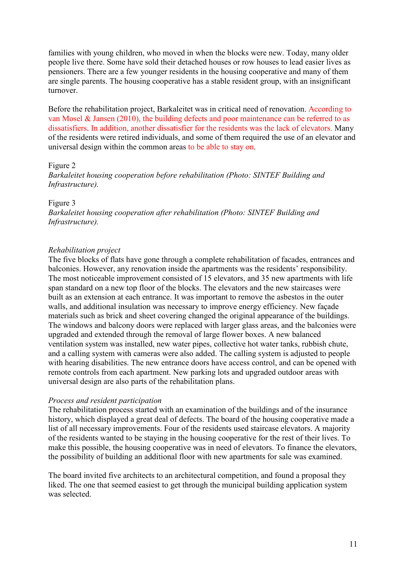families with young children, who moved in when the blocks were new. Today, many older people live there. Some have sold their detached houses or row houses to lead easier lives as pensioners. There are a few younger residents in the housing cooperative and many of them are single parents. The housing cooperative has a stable resident group, with an insignificant turnover.

Before the rehabilitation project, Barkaleitet was in critical need of renovation. According to van Mosel & Jansen (2010), the building defects and poor maintenance can be referred to as dissatisfiers. In addition, another dissatisfier for the residents was the lack of elevators. Many of the residents were retired individuals, and some of them required the use of an elevator and universal design within the common areas to be able to stay on.

### Figure 2

*Barkaleitet housing cooperation before rehabilitation (Photo: SINTEF Building and Infrastructure).*

### Figure 3

*Barkaleitet housing cooperation after rehabilitation (Photo: SINTEF Building and Infrastructure).*

# *Rehabilitation project*

The five blocks of flats have gone through a complete rehabilitation of facades, entrances and balconies. However, any renovation inside the apartments was the residents' responsibility. The most noticeable improvement consisted of 15 elevators, and 35 new apartments with life span standard on a new top floor of the blocks. The elevators and the new staircases were built as an extension at each entrance. It was important to remove the asbestos in the outer walls, and additional insulation was necessary to improve energy efficiency. New façade materials such as brick and sheet covering changed the original appearance of the buildings. The windows and balcony doors were replaced with larger glass areas, and the balconies were upgraded and extended through the removal of large flower boxes. A new balanced ventilation system was installed, new water pipes, collective hot water tanks, rubbish chute, and a calling system with cameras were also added. The calling system is adjusted to people with hearing disabilities. The new entrance doors have access control, and can be opened with remote controls from each apartment. New parking lots and upgraded outdoor areas with universal design are also parts of the rehabilitation plans.

### *Process and resident participation*

The rehabilitation process started with an examination of the buildings and of the insurance history, which displayed a great deal of defects. The board of the housing cooperative made a list of all necessary improvements. Four of the residents used staircase elevators. A majority of the residents wanted to be staying in the housing cooperative for the rest of their lives. To make this possible, the housing cooperative was in need of elevators. To finance the elevators, the possibility of building an additional floor with new apartments for sale was examined.

The board invited five architects to an architectural competition, and found a proposal they liked. The one that seemed easiest to get through the municipal building application system was selected.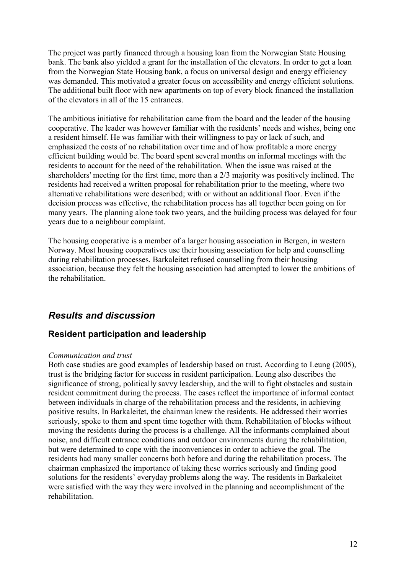The project was partly financed through a housing loan from the Norwegian State Housing bank. The bank also yielded a grant for the installation of the elevators. In order to get a loan from the Norwegian State Housing bank, a focus on universal design and energy efficiency was demanded. This motivated a greater focus on accessibility and energy efficient solutions. The additional built floor with new apartments on top of every block financed the installation of the elevators in all of the 15 entrances.

The ambitious initiative for rehabilitation came from the board and the leader of the housing cooperative. The leader was however familiar with the residents' needs and wishes, being one a resident himself. He was familiar with their willingness to pay or lack of such, and emphasized the costs of no rehabilitation over time and of how profitable a more energy efficient building would be. The board spent several months on informal meetings with the residents to account for the need of the rehabilitation. When the issue was raised at the shareholders' meeting for the first time, more than a 2/3 majority was positively inclined. The residents had received a written proposal for rehabilitation prior to the meeting, where two alternative rehabilitations were described; with or without an additional floor. Even if the decision process was effective, the rehabilitation process has all together been going on for many years. The planning alone took two years, and the building process was delayed for four years due to a neighbour complaint.

The housing cooperative is a member of a larger housing association in Bergen, in western Norway. Most housing cooperatives use their housing association for help and counselling during rehabilitation processes. Barkaleitet refused counselling from their housing association, because they felt the housing association had attempted to lower the ambitions of the rehabilitation.

# *Results and discussion*

# **Resident participation and leadership**

### *Communication and trust*

Both case studies are good examples of leadership based on trust. According to Leung (2005), trust is the bridging factor for success in resident participation. Leung also describes the significance of strong, politically savvy leadership, and the will to fight obstacles and sustain resident commitment during the process. The cases reflect the importance of informal contact between individuals in charge of the rehabilitation process and the residents, in achieving positive results. In Barkaleitet, the chairman knew the residents. He addressed their worries seriously, spoke to them and spent time together with them. Rehabilitation of blocks without moving the residents during the process is a challenge. All the informants complained about noise, and difficult entrance conditions and outdoor environments during the rehabilitation, but were determined to cope with the inconveniences in order to achieve the goal. The residents had many smaller concerns both before and during the rehabilitation process. The chairman emphasized the importance of taking these worries seriously and finding good solutions for the residents' everyday problems along the way. The residents in Barkaleitet were satisfied with the way they were involved in the planning and accomplishment of the rehabilitation.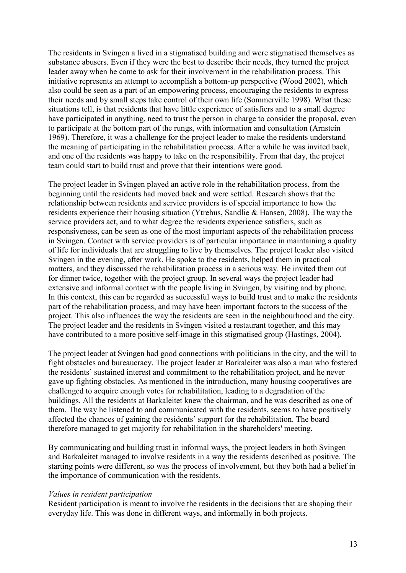The residents in Svingen a lived in a stigmatised building and were stigmatised themselves as substance abusers. Even if they were the best to describe their needs, they turned the project leader away when he came to ask for their involvement in the rehabilitation process. This initiative represents an attempt to accomplish a bottom-up perspective (Wood 2002), which also could be seen as a part of an empowering process, encouraging the residents to express their needs and by small steps take control of their own life (Sommerville 1998). What these situations tell, is that residents that have little experience of satisfiers and to a small degree have participated in anything, need to trust the person in charge to consider the proposal, even to participate at the bottom part of the rungs, with information and consultation (Arnstein 1969). Therefore, it was a challenge for the project leader to make the residents understand the meaning of participating in the rehabilitation process. After a while he was invited back, and one of the residents was happy to take on the responsibility. From that day, the project team could start to build trust and prove that their intentions were good.

The project leader in Svingen played an active role in the rehabilitation process, from the beginning until the residents had moved back and were settled. Research shows that the relationship between residents and service providers is of special importance to how the residents experience their housing situation (Ytrehus, Sandlie & Hansen, 2008). The way the service providers act, and to what degree the residents experience satisfiers, such as responsiveness, can be seen as one of the most important aspects of the rehabilitation process in Svingen. Contact with service providers is of particular importance in maintaining a quality of life for individuals that are struggling to live by themselves. The project leader also visited Svingen in the evening, after work. He spoke to the residents, helped them in practical matters, and they discussed the rehabilitation process in a serious way. He invited them out for dinner twice, together with the project group. In several ways the project leader had extensive and informal contact with the people living in Svingen, by visiting and by phone. In this context, this can be regarded as successful ways to build trust and to make the residents part of the rehabilitation process, and may have been important factors to the success of the project. This also influences the way the residents are seen in the neighbourhood and the city. The project leader and the residents in Svingen visited a restaurant together, and this may have contributed to a more positive self-image in this stigmatised group (Hastings, 2004).

The project leader at Svingen had good connections with politicians in the city, and the will to fight obstacles and bureaucracy. The project leader at Barkaleitet was also a man who fostered the residents' sustained interest and commitment to the rehabilitation project, and he never gave up fighting obstacles. As mentioned in the introduction, many housing cooperatives are challenged to acquire enough votes for rehabilitation, leading to a degradation of the buildings. All the residents at Barkaleitet knew the chairman, and he was described as one of them. The way he listened to and communicated with the residents, seems to have positively affected the chances of gaining the residents' support for the rehabilitation. The board therefore managed to get majority for rehabilitation in the shareholders' meeting.

By communicating and building trust in informal ways, the project leaders in both Svingen and Barkaleitet managed to involve residents in a way the residents described as positive. The starting points were different, so was the process of involvement, but they both had a belief in the importance of communication with the residents.

#### *Values in resident participation*

Resident participation is meant to involve the residents in the decisions that are shaping their everyday life. This was done in different ways, and informally in both projects.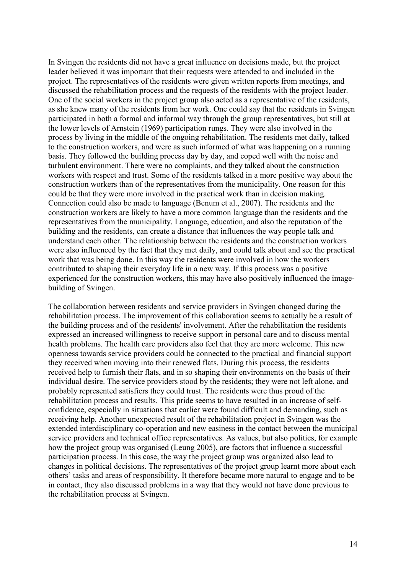In Svingen the residents did not have a great influence on decisions made, but the project leader believed it was important that their requests were attended to and included in the project. The representatives of the residents were given written reports from meetings, and discussed the rehabilitation process and the requests of the residents with the project leader. One of the social workers in the project group also acted as a representative of the residents, as she knew many of the residents from her work. One could say that the residents in Svingen participated in both a formal and informal way through the group representatives, but still at the lower levels of Arnstein (1969) participation rungs. They were also involved in the process by living in the middle of the ongoing rehabilitation. The residents met daily, talked to the construction workers, and were as such informed of what was happening on a running basis. They followed the building process day by day, and coped well with the noise and turbulent environment. There were no complaints, and they talked about the construction workers with respect and trust. Some of the residents talked in a more positive way about the construction workers than of the representatives from the municipality. One reason for this could be that they were more involved in the practical work than in decision making. Connection could also be made to language (Benum et al., 2007). The residents and the construction workers are likely to have a more common language than the residents and the representatives from the municipality. Language, education, and also the reputation of the building and the residents, can create a distance that influences the way people talk and understand each other. The relationship between the residents and the construction workers were also influenced by the fact that they met daily, and could talk about and see the practical work that was being done. In this way the residents were involved in how the workers contributed to shaping their everyday life in a new way. If this process was a positive experienced for the construction workers, this may have also positively influenced the imagebuilding of Svingen.

The collaboration between residents and service providers in Svingen changed during the rehabilitation process. The improvement of this collaboration seems to actually be a result of the building process and of the residents' involvement. After the rehabilitation the residents expressed an increased willingness to receive support in personal care and to discuss mental health problems. The health care providers also feel that they are more welcome. This new openness towards service providers could be connected to the practical and financial support they received when moving into their renewed flats. During this process, the residents received help to furnish their flats, and in so shaping their environments on the basis of their individual desire. The service providers stood by the residents; they were not left alone, and probably represented satisfiers they could trust. The residents were thus proud of the rehabilitation process and results. This pride seems to have resulted in an increase of selfconfidence, especially in situations that earlier were found difficult and demanding, such as receiving help. Another unexpected result of the rehabilitation project in Svingen was the extended interdisciplinary co-operation and new easiness in the contact between the municipal service providers and technical office representatives. As values, but also politics, for example how the project group was organised (Leung 2005), are factors that influence a successful participation process. In this case, the way the project group was organized also lead to changes in political decisions. The representatives of the project group learnt more about each others' tasks and areas of responsibility. It therefore became more natural to engage and to be in contact, they also discussed problems in a way that they would not have done previous to the rehabilitation process at Svingen.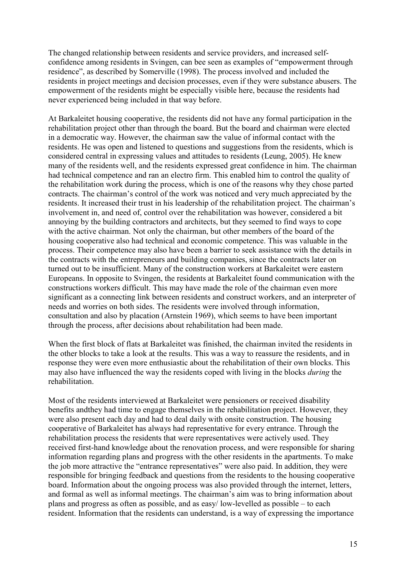The changed relationship between residents and service providers, and increased selfconfidence among residents in Svingen, can bee seen as examples of "empowerment through residence", as described by Somerville (1998). The process involved and included the residents in project meetings and decision processes, even if they were substance abusers. The empowerment of the residents might be especially visible here, because the residents had never experienced being included in that way before.

At Barkaleitet housing cooperative, the residents did not have any formal participation in the rehabilitation project other than through the board. But the board and chairman were elected in a democratic way. However, the chairman saw the value of informal contact with the residents. He was open and listened to questions and suggestions from the residents, which is considered central in expressing values and attitudes to residents (Leung, 2005). He knew many of the residents well, and the residents expressed great confidence in him. The chairman had technical competence and ran an electro firm. This enabled him to control the quality of the rehabilitation work during the process, which is one of the reasons why they chose parted contracts. The chairman's control of the work was noticed and very much appreciated by the residents. It increased their trust in his leadership of the rehabilitation project. The chairman's involvement in, and need of, control over the rehabilitation was however, considered a bit annoying by the building contractors and architects, but they seemed to find ways to cope with the active chairman. Not only the chairman, but other members of the board of the housing cooperative also had technical and economic competence. This was valuable in the process. Their competence may also have been a barrier to seek assistance with the details in the contracts with the entrepreneurs and building companies, since the contracts later on turned out to be insufficient. Many of the construction workers at Barkaleitet were eastern Europeans. In opposite to Svingen, the residents at Barkaleitet found communication with the constructions workers difficult. This may have made the role of the chairman even more significant as a connecting link between residents and construct workers, and an interpreter of needs and worries on both sides. The residents were involved through information, consultation and also by placation (Arnstein 1969), which seems to have been important through the process, after decisions about rehabilitation had been made.

When the first block of flats at Barkaleitet was finished, the chairman invited the residents in the other blocks to take a look at the results. This was a way to reassure the residents, and in response they were even more enthusiastic about the rehabilitation of their own blocks. This may also have influenced the way the residents coped with living in the blocks *during* the rehabilitation.

Most of the residents interviewed at Barkaleitet were pensioners or received disability benefits andthey had time to engage themselves in the rehabilitation project. However, they were also present each day and had to deal daily with onsite construction. The housing cooperative of Barkaleitet has always had representative for every entrance. Through the rehabilitation process the residents that were representatives were actively used. They received first-hand knowledge about the renovation process, and were responsible for sharing information regarding plans and progress with the other residents in the apartments. To make the job more attractive the "entrance representatives" were also paid. In addition, they were responsible for bringing feedback and questions from the residents to the housing cooperative board. Information about the ongoing process was also provided through the internet, letters, and formal as well as informal meetings. The chairman's aim was to bring information about plans and progress as often as possible, and as easy/ low-levelled as possible – to each resident. Information that the residents can understand, is a way of expressing the importance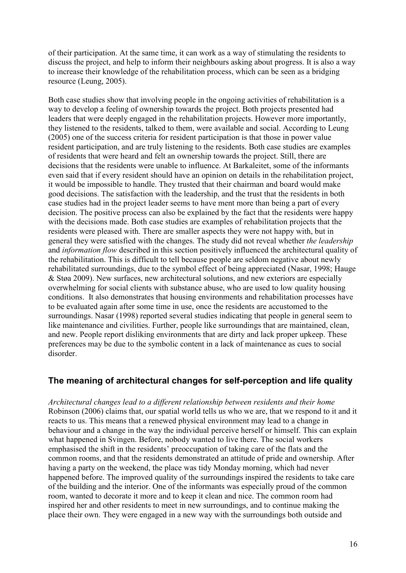of their participation. At the same time, it can work as a way of stimulating the residents to discuss the project, and help to inform their neighbours asking about progress. It is also a way to increase their knowledge of the rehabilitation process, which can be seen as a bridging resource (Leung, 2005).

Both case studies show that involving people in the ongoing activities of rehabilitation is a way to develop a feeling of ownership towards the project. Both projects presented had leaders that were deeply engaged in the rehabilitation projects. However more importantly, they listened to the residents, talked to them, were available and social. According to Leung (2005) one of the success criteria for resident participation is that those in power value resident participation, and are truly listening to the residents. Both case studies are examples of residents that were heard and felt an ownership towards the project. Still, there are decisions that the residents were unable to influence. At Barkaleitet, some of the informants even said that if every resident should have an opinion on details in the rehabilitation project, it would be impossible to handle. They trusted that their chairman and board would make good decisions. The satisfaction with the leadership, and the trust that the residents in both case studies had in the project leader seems to have ment more than being a part of every decision. The positive process can also be explained by the fact that the residents were happy with the decisions made. Both case studies are examples of rehabilitation projects that the residents were pleased with. There are smaller aspects they were not happy with, but in general they were satisfied with the changes. The study did not reveal whether *the leadership* and *information flow* described in this section positively influenced the architectural quality of the rehabilitation. This is difficult to tell because people are seldom negative about newly rehabilitated surroundings, due to the symbol effect of being appreciated (Nasar, 1998; Hauge & Støa 2009). New surfaces, new architectural solutions, and new exteriors are especially overwhelming for social clients with substance abuse, who are used to low quality housing conditions. It also demonstrates that housing environments and rehabilitation processes have to be evaluated again after some time in use, once the residents are accustomed to the surroundings. Nasar (1998) reported several studies indicating that people in general seem to like maintenance and civilities. Further, people like surroundings that are maintained, clean, and new. People report disliking environments that are dirty and lack proper upkeep. These preferences may be due to the symbolic content in a lack of maintenance as cues to social disorder.

# **The meaning of architectural changes for self-perception and life quality**

*Architectural changes lead to a different relationship between residents and their home* Robinson (2006) claims that, our spatial world tells us who we are, that we respond to it and it reacts to us. This means that a renewed physical environment may lead to a change in behaviour and a change in the way the individual perceive herself or himself. This can explain what happened in Svingen. Before, nobody wanted to live there. The social workers emphasised the shift in the residents' preoccupation of taking care of the flats and the common rooms, and that the residents demonstrated an attitude of pride and ownership. After having a party on the weekend, the place was tidy Monday morning, which had never happened before. The improved quality of the surroundings inspired the residents to take care of the building and the interior. One of the informants was especially proud of the common room, wanted to decorate it more and to keep it clean and nice. The common room had inspired her and other residents to meet in new surroundings, and to continue making the place their own. They were engaged in a new way with the surroundings both outside and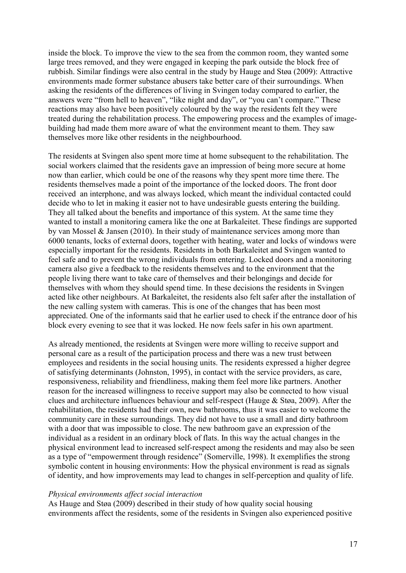inside the block. To improve the view to the sea from the common room, they wanted some large trees removed, and they were engaged in keeping the park outside the block free of rubbish. Similar findings were also central in the study by Hauge and Støa (2009): Attractive environments made former substance abusers take better care of their surroundings. When asking the residents of the differences of living in Svingen today compared to earlier, the answers were "from hell to heaven", "like night and day", or "you can't compare." These reactions may also have been positively coloured by the way the residents felt they were treated during the rehabilitation process. The empowering process and the examples of imagebuilding had made them more aware of what the environment meant to them. They saw themselves more like other residents in the neighbourhood.

The residents at Svingen also spent more time at home subsequent to the rehabilitation. The social workers claimed that the residents gave an impression of being more secure at home now than earlier, which could be one of the reasons why they spent more time there. The residents themselves made a point of the importance of the locked doors. The front door received an interphone, and was always locked, which meant the individual contacted could decide who to let in making it easier not to have undesirable guests entering the building. They all talked about the benefits and importance of this system. At the same time they wanted to install a monitoring camera like the one at Barkaleitet. These findings are supported by van Mossel & Jansen (2010). In their study of maintenance services among more than 6000 tenants, locks of external doors, together with heating, water and locks of windows were especially important for the residents. Residents in both Barkaleitet and Svingen wanted to feel safe and to prevent the wrong individuals from entering. Locked doors and a monitoring camera also give a feedback to the residents themselves and to the environment that the people living there want to take care of themselves and their belongings and decide for themselves with whom they should spend time. In these decisions the residents in Svingen acted like other neighbours. At Barkaleitet, the residents also felt safer after the installation of the new calling system with cameras. This is one of the changes that has been most appreciated. One of the informants said that he earlier used to check if the entrance door of his block every evening to see that it was locked. He now feels safer in his own apartment.

As already mentioned, the residents at Svingen were more willing to receive support and personal care as a result of the participation process and there was a new trust between employees and residents in the social housing units. The residents expressed a higher degree of satisfying determinants (Johnston, 1995), in contact with the service providers, as care, responsiveness, reliability and friendliness, making them feel more like partners. Another reason for the increased willingness to receive support may also be connected to how visual clues and architecture influences behaviour and self-respect (Hauge & Støa, 2009). After the rehabilitation, the residents had their own, new bathrooms, thus it was easier to welcome the community care in these surroundings. They did not have to use a small and dirty bathroom with a door that was impossible to close. The new bathroom gave an expression of the individual as a resident in an ordinary block of flats. In this way the actual changes in the physical environment lead to increased self-respect among the residents and may also be seen as a type of "empowerment through residence" (Somerville, 1998). It exemplifies the strong symbolic content in housing environments: How the physical environment is read as signals of identity, and how improvements may lead to changes in self-perception and quality of life.

#### *Physical environments affect social interaction*

As Hauge and Støa (2009) described in their study of how quality social housing environments affect the residents, some of the residents in Svingen also experienced positive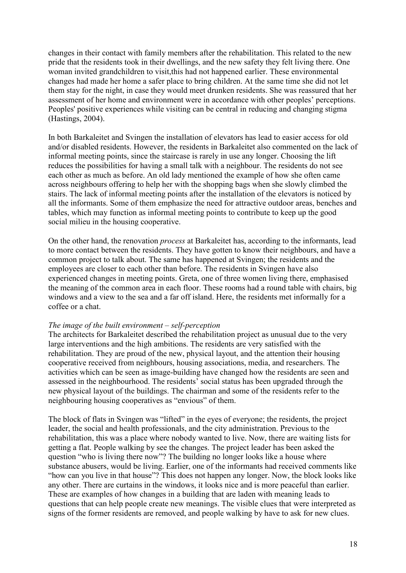changes in their contact with family members after the rehabilitation. This related to the new pride that the residents took in their dwellings, and the new safety they felt living there. One woman invited grandchildren to visit,this had not happened earlier. These environmental changes had made her home a safer place to bring children. At the same time she did not let them stay for the night, in case they would meet drunken residents. She was reassured that her assessment of her home and environment were in accordance with other peoples' perceptions. Peoples' positive experiences while visiting can be central in reducing and changing stigma (Hastings, 2004).

In both Barkaleitet and Svingen the installation of elevators has lead to easier access for old and/or disabled residents. However, the residents in Barkaleitet also commented on the lack of informal meeting points, since the staircase is rarely in use any longer. Choosing the lift reduces the possibilities for having a small talk with a neighbour. The residents do not see each other as much as before. An old lady mentioned the example of how she often came across neighbours offering to help her with the shopping bags when she slowly climbed the stairs. The lack of informal meeting points after the installation of the elevators is noticed by all the informants. Some of them emphasize the need for attractive outdoor areas, benches and tables, which may function as informal meeting points to contribute to keep up the good social milieu in the housing cooperative.

On the other hand, the renovation *process* at Barkaleitet has, according to the informants, lead to more contact between the residents. They have gotten to know their neighbours, and have a common project to talk about. The same has happened at Svingen; the residents and the employees are closer to each other than before. The residents in Svingen have also experienced changes in meeting points. Greta, one of three women living there, emphasised the meaning of the common area in each floor. These rooms had a round table with chairs, big windows and a view to the sea and a far off island. Here, the residents met informally for a coffee or a chat.

### *The image of the built environment – self-perception*

The architects for Barkaleitet described the rehabilitation project as unusual due to the very large interventions and the high ambitions. The residents are very satisfied with the rehabilitation. They are proud of the new, physical layout, and the attention their housing cooperative received from neighbours, housing associations, media, and researchers. The activities which can be seen as image-building have changed how the residents are seen and assessed in the neighbourhood. The residents' social status has been upgraded through the new physical layout of the buildings. The chairman and some of the residents refer to the neighbouring housing cooperatives as "envious" of them.

The block of flats in Svingen was "lifted" in the eyes of everyone; the residents, the project leader, the social and health professionals, and the city administration. Previous to the rehabilitation, this was a place where nobody wanted to live. Now, there are waiting lists for getting a flat. People walking by see the changes. The project leader has been asked the question "who is living there now"? The building no longer looks like a house where substance abusers, would be living. Earlier, one of the informants had received comments like "how can you live in that house"? This does not happen any longer. Now, the block looks like any other. There are curtains in the windows, it looks nice and is more peaceful than earlier. These are examples of how changes in a building that are laden with meaning leads to questions that can help people create new meanings. The visible clues that were interpreted as signs of the former residents are removed, and people walking by have to ask for new clues.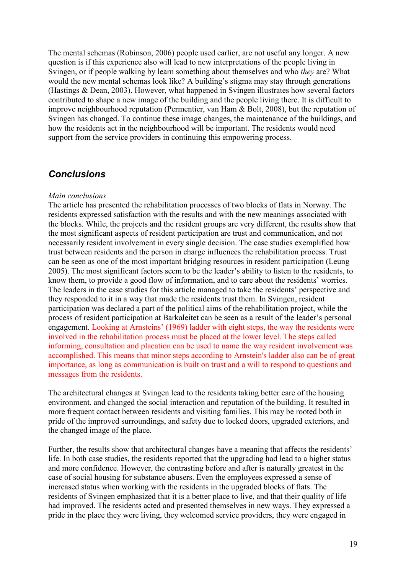The mental schemas (Robinson, 2006) people used earlier, are not useful any longer. A new question is if this experience also will lead to new interpretations of the people living in Svingen, or if people walking by learn something about themselves and who *they* are? What would the new mental schemas look like? A building's stigma may stay through generations (Hastings & Dean, 2003). However, what happened in Svingen illustrates how several factors contributed to shape a new image of the building and the people living there. It is difficult to improve neighbourhood reputation (Permentier, van Ham & Bolt, 2008), but the reputation of Svingen has changed. To continue these image changes, the maintenance of the buildings, and how the residents act in the neighbourhood will be important. The residents would need support from the service providers in continuing this empowering process.

# *Conclusions*

### *Main conclusions*

The article has presented the rehabilitation processes of two blocks of flats in Norway. The residents expressed satisfaction with the results and with the new meanings associated with the blocks. While, the projects and the resident groups are very different, the results show that the most significant aspects of resident participation are trust and communication, and not necessarily resident involvement in every single decision. The case studies exemplified how trust between residents and the person in charge influences the rehabilitation process. Trust can be seen as one of the most important bridging resources in resident participation (Leung 2005). The most significant factors seem to be the leader's ability to listen to the residents, to know them, to provide a good flow of information, and to care about the residents' worries. The leaders in the case studies for this article managed to take the residents' perspective and they responded to it in a way that made the residents trust them. In Svingen, resident participation was declared a part of the political aims of the rehabilitation project, while the process of resident participation at Barkaleitet can be seen as a result of the leader's personal engagement. Looking at Arnsteins' (1969) ladder with eight steps, the way the residents were involved in the rehabilitation process must be placed at the lower level. The steps called informing, consultation and placation can be used to name the way resident involvement was accomplished. This means that minor steps according to Arnstein's ladder also can be of great importance, as long as communication is built on trust and a will to respond to questions and messages from the residents.

The architectural changes at Svingen lead to the residents taking better care of the housing environment, and changed the social interaction and reputation of the building. It resulted in more frequent contact between residents and visiting families. This may be rooted both in pride of the improved surroundings, and safety due to locked doors, upgraded exteriors, and the changed image of the place.

Further, the results show that architectural changes have a meaning that affects the residents' life. In both case studies, the residents reported that the upgrading had lead to a higher status and more confidence. However, the contrasting before and after is naturally greatest in the case of social housing for substance abusers. Even the employees expressed a sense of increased status when working with the residents in the upgraded blocks of flats. The residents of Svingen emphasized that it is a better place to live, and that their quality of life had improved. The residents acted and presented themselves in new ways. They expressed a pride in the place they were living, they welcomed service providers, they were engaged in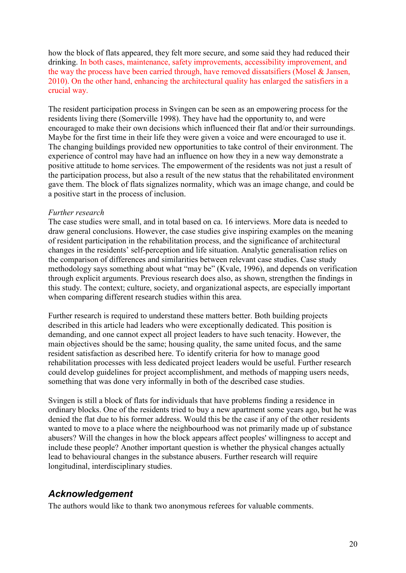how the block of flats appeared, they felt more secure, and some said they had reduced their drinking. In both cases, maintenance, safety improvements, accessibility improvement, and the way the process have been carried through, have removed dissatsifiers (Mosel & Jansen, 2010). On the other hand, enhancing the architectural quality has enlarged the satisfiers in a crucial way.

The resident participation process in Svingen can be seen as an empowering process for the residents living there (Somerville 1998). They have had the opportunity to, and were encouraged to make their own decisions which influenced their flat and/or their surroundings. Maybe for the first time in their life they were given a voice and were encouraged to use it. The changing buildings provided new opportunities to take control of their environment. The experience of control may have had an influence on how they in a new way demonstrate a positive attitude to home services. The empowerment of the residents was not just a result of the participation process, but also a result of the new status that the rehabilitated environment gave them. The block of flats signalizes normality, which was an image change, and could be a positive start in the process of inclusion.

### *Further research*

The case studies were small, and in total based on ca. 16 interviews. More data is needed to draw general conclusions. However, the case studies give inspiring examples on the meaning of resident participation in the rehabilitation process, and the significance of architectural changes in the residents' self-perception and life situation. Analytic generalisation relies on the comparison of differences and similarities between relevant case studies. Case study methodology says something about what "may be" (Kvale, 1996), and depends on verification through explicit arguments. Previous research does also, as shown, strengthen the findings in this study. The context; culture, society, and organizational aspects, are especially important when comparing different research studies within this area.

Further research is required to understand these matters better. Both building projects described in this article had leaders who were exceptionally dedicated. This position is demanding, and one cannot expect all project leaders to have such tenacity. However, the main objectives should be the same; housing quality, the same united focus, and the same resident satisfaction as described here. To identify criteria for how to manage good rehabilitation processes with less dedicated project leaders would be useful. Further research could develop guidelines for project accomplishment, and methods of mapping users needs, something that was done very informally in both of the described case studies.

Svingen is still a block of flats for individuals that have problems finding a residence in ordinary blocks. One of the residents tried to buy a new apartment some years ago, but he was denied the flat due to his former address. Would this be the case if any of the other residents wanted to move to a place where the neighbourhood was not primarily made up of substance abusers? Will the changes in how the block appears affect peoples' willingness to accept and include these people? Another important question is whether the physical changes actually lead to behavioural changes in the substance abusers. Further research will require longitudinal, interdisciplinary studies.

# *Acknowledgement*

The authors would like to thank two anonymous referees for valuable comments.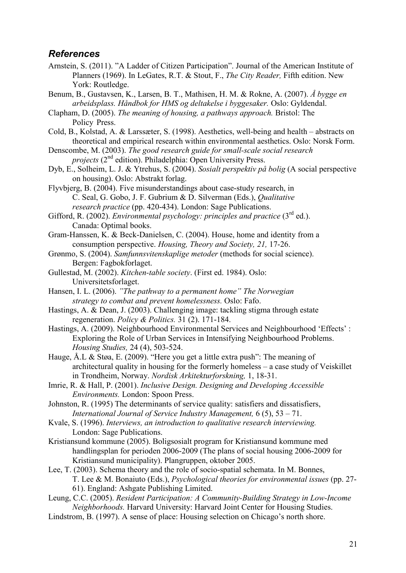# *References*

- Arnstein, S. (2011). "A Ladder of Citizen Participation". Journal of the American Institute of Planners (1969). In LeGates, R.T. & Stout, F., *The City Reader,* Fifth edition. New York: Routledge.
- Benum, B., Gustavsen, K., Larsen, B. T., Mathisen, H. M. & Rokne, A. (2007). *Å bygge en arbeidsplass. Håndbok for HMS og deltakelse i byggesaker.* Oslo: Gyldendal.
- Clapham, D. (2005). *The meaning of housing, a pathways approach.* Bristol: The Policy Press.
- Cold, B., Kolstad, A. & Larssæter, S. (1998). Aesthetics, well-being and health abstracts on theoretical and empirical research within environmental aesthetics. Oslo: Norsk Form.
- Denscombe, M. (2003). *The good research guide for small-scale social research projects* (2<sup>nd</sup> edition). Philadelphia: Open University Press.
- Dyb, E., Solheim, L. J. & Ytrehus, S. (2004). *Sosialt perspektiv på bolig* (A social perspective on housing). Oslo: Abstrakt forlag.
- Flyvbjerg, B. (2004). Five misunderstandings about case-study research, in C. Seal, G. Gobo, J. F. Gubrium & D. Silverman (Eds.), *Qualitative research practice* (pp. 420-434). London: Sage Publications.
- Gifford, R. (2002). *Environmental psychology: principles and practice* (3<sup>rd</sup> ed.). Canada: Optimal books.
- Gram-Hanssen, K. & Beck-Danielsen, C. (2004). House, home and identity from a consumption perspective. *Housing, Theory and Society, 21,* 17-26.
- Grønmo, S. (2004). *Samfunnsvitenskaplige metoder* (methods for social science). Bergen: Fagbokforlaget.
- Gullestad, M. (2002). *Kitchen-table society*. (First ed. 1984). Oslo: Universitetsforlaget.
- Hansen, I. L. (2006). *"The pathway to a permanent home" The Norwegian strategy to combat and prevent homelessness.* Oslo: Fafo.
- Hastings, A. & Dean, J. (2003). Challenging image: tackling stigma through estate regeneration. *Policy & Politics.* 31 (2). 171-184.
- Hastings, A. (2009). Neighbourhood Environmental Services and Neighbourhood 'Effects' : Exploring the Role of Urban Services in Intensifying Neighbourhood Problems. *Housing Studies,* 24 (4), 503-524.
- Hauge, Å.L & Støa, E. (2009). "Here you get a little extra push": The meaning of architectural quality in housing for the formerly homeless – a case study of Veiskillet in Trondheim, Norway. *Nordisk Arkitekturforskning,* 1, 18-31.
- Imrie, R. & Hall, P. (2001). *Inclusive Design. Designing and Developing Accessible Environments.* London: Spoon Press.
- Johnston, R. (1995) The determinants of service quality: satisfiers and dissatisfiers, *International Journal of Service Industry Management,* 6 (5), 53 – 71.
- Kvale, S. (1996). *Interviews, an introduction to qualitative research interviewing.*  London: Sage Publications.
- Kristiansund kommune (2005). Boligsosialt program for Kristiansund kommune med handlingsplan for perioden 2006-2009 (The plans of social housing 2006-2009 for Kristiansund municipality). Plangruppen, oktober 2005.
- Lee, T. (2003). Schema theory and the role of socio-spatial schemata. In M. Bonnes, T. Lee & M. Bonaiuto (Eds.), *Psychological theories for environmental issues* (pp. 27- 61). England: Ashgate Publishing Limited.

Leung, C.C. (2005). *Resident Participation: A Community-Building Strategy in Low-Income Neighborhoods.* Harvard University: Harvard Joint Center for Housing Studies.

Lindstrom, B. (1997). A sense of place: Housing selection on Chicago's north shore.